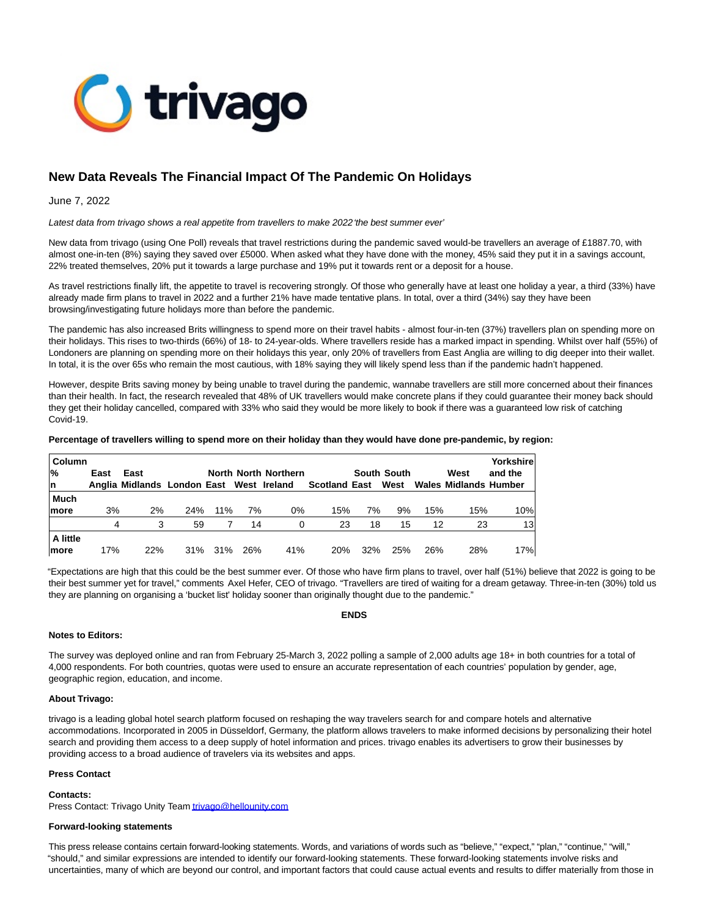

# **New Data Reveals The Financial Impact Of The Pandemic On Holidays**

## June 7, 2022

Latest data from trivago shows a real appetite from travellers to make 2022 'the best summer ever'

New data from trivago (using One Poll) reveals that travel restrictions during the pandemic saved would-be travellers an average of £1887.70, with almost one-in-ten (8%) saying they saved over £5000. When asked what they have done with the money, 45% said they put it in a savings account, 22% treated themselves, 20% put it towards a large purchase and 19% put it towards rent or a deposit for a house.

As travel restrictions finally lift, the appetite to travel is recovering strongly. Of those who generally have at least one holiday a year, a third (33%) have already made firm plans to travel in 2022 and a further 21% have made tentative plans. In total, over a third (34%) say they have been browsing/investigating future holidays more than before the pandemic.

The pandemic has also increased Brits willingness to spend more on their travel habits - almost four-in-ten (37%) travellers plan on spending more on their holidays. This rises to two-thirds (66%) of 18- to 24-year-olds. Where travellers reside has a marked impact in spending. Whilst over half (55%) of Londoners are planning on spending more on their holidays this year, only 20% of travellers from East Anglia are willing to dig deeper into their wallet. In total, it is the over 65s who remain the most cautious, with 18% saying they will likely spend less than if the pandemic hadn't happened.

However, despite Brits saving money by being unable to travel during the pandemic, wannabe travellers are still more concerned about their finances than their health. In fact, the research revealed that 48% of UK travellers would make concrete plans if they could guarantee their money back should they get their holiday cancelled, compared with 33% who said they would be more likely to book if there was a guaranteed low risk of catching Covid-19.

### **Percentage of travellers willing to spend more on their holiday than they would have done pre-pandemic, by region:**

| Column<br>$\frac{9}{6}$ | East | East                                     |     |     |     | <b>North North Northern</b> |                      |     | South South |     | West                         | Yorkshire<br>and the |
|-------------------------|------|------------------------------------------|-----|-----|-----|-----------------------------|----------------------|-----|-------------|-----|------------------------------|----------------------|
| In                      |      | Anglia Midlands London East West Ireland |     |     |     |                             | <b>Scotland East</b> |     | West        |     | <b>Wales Midlands Humber</b> |                      |
| <b>Much</b>             |      |                                          |     |     |     |                             |                      |     |             |     |                              |                      |
| <b>Imore</b>            | 3%   | 2%                                       | 24% | 11% | 7%  | $0\%$                       | 15%                  | 7%  | 9%          | 15% | 15%                          | 10%                  |
|                         | 4    | 3                                        | 59  |     | 14  | 0                           | 23                   | 18  | 15          | 12  | 23                           | 13                   |
| A little                |      |                                          |     |     |     |                             |                      |     |             |     |                              |                      |
| <b>Imore</b>            | 17%  | 22%                                      | 31% | 31% | 26% | 41%                         | 20%                  | 32% | 25%         | 26% | 28%                          | 17%                  |

"Expectations are high that this could be the best summer ever. Of those who have firm plans to travel, over half (51%) believe that 2022 is going to be their best summer yet for travel," comments Axel Hefer, CEO of trivago. "Travellers are tired of waiting for a dream getaway. Three-in-ten (30%) told us they are planning on organising a 'bucket list' holiday sooner than originally thought due to the pandemic."

## **Notes to Editors:**

The survey was deployed online and ran from February 25-March 3, 2022 polling a sample of 2,000 adults age 18+ in both countries for a total of 4,000 respondents. For both countries, quotas were used to ensure an accurate representation of each countries' population by gender, age, geographic region, education, and income.

## **About Trivago:**

trivago is a leading global hotel search platform focused on reshaping the way travelers search for and compare hotels and alternative accommodations. Incorporated in 2005 in Düsseldorf, Germany, the platform allows travelers to make informed decisions by personalizing their hotel search and providing them access to a deep supply of hotel information and prices. trivago enables its advertisers to grow their businesses by providing access to a broad audience of travelers via its websites and apps.

### **Press Contact**

### **Contacts:**

Press Contact: Trivago Unity Tea[m trivago@hellounity.com](mailto:trivago@hellounity.com)

## **Forward-looking statements**

This press release contains certain forward-looking statements. Words, and variations of words such as "believe," "expect," "plan," "continue," "will," "should," and similar expressions are intended to identify our forward-looking statements. These forward-looking statements involve risks and uncertainties, many of which are beyond our control, and important factors that could cause actual events and results to differ materially from those in

### **ENDS**